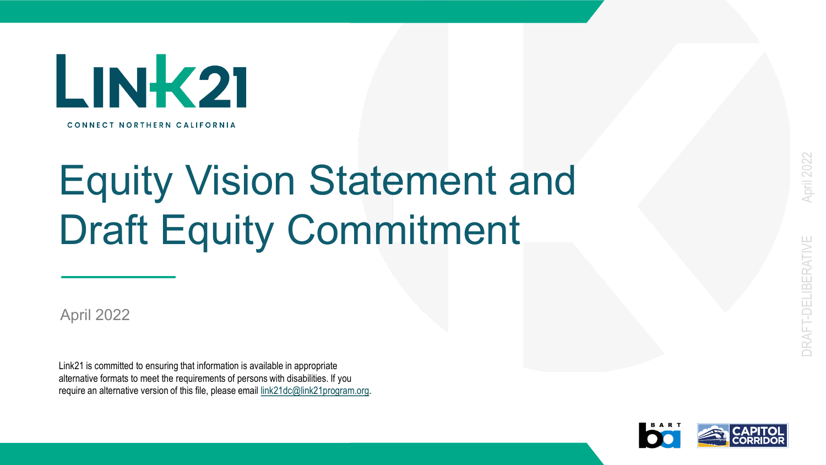

# Equity Vision Statement and Draft Equity Commitment

April 2022

Link21 is committed to ensuring that information is available in appropriate alternative formats to meet the requirements of persons with disabilities. If you require an alternative version of this file, please email link21dc@link21program.org.

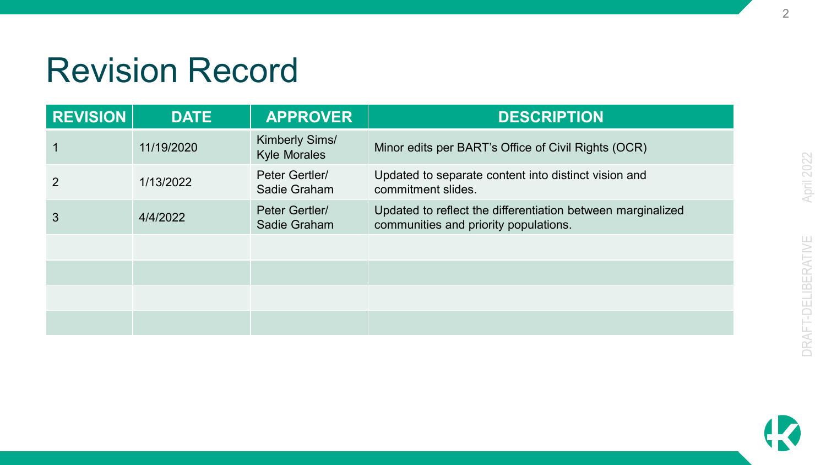#### Revision Record

| <b>REVISION</b> | <b>DATE</b> | <b>APPROVER</b>                              | <b>DESCRIPTION</b>                                                                                   |
|-----------------|-------------|----------------------------------------------|------------------------------------------------------------------------------------------------------|
|                 | 11/19/2020  | <b>Kimberly Sims/</b><br><b>Kyle Morales</b> | Minor edits per BART's Office of Civil Rights (OCR)                                                  |
| 2               | 1/13/2022   | Peter Gertler/<br>Sadie Graham               | Updated to separate content into distinct vision and<br>commitment slides.                           |
| 3               | 4/4/2022    | Peter Gertler/<br>Sadie Graham               | Updated to reflect the differentiation between marginalized<br>communities and priority populations. |
|                 |             |                                              |                                                                                                      |
|                 |             |                                              |                                                                                                      |
|                 |             |                                              |                                                                                                      |
|                 |             |                                              |                                                                                                      |

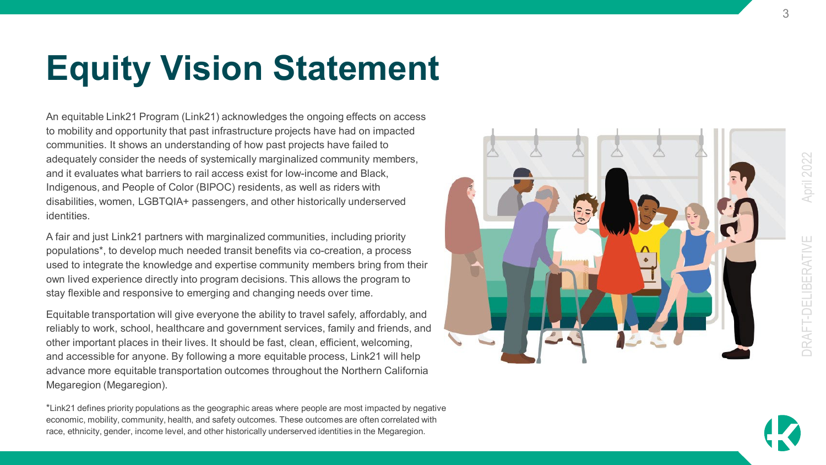## **Equity Vision Statement**

An equitable Link21 Program (Link21) acknowledges the ongoing effects on access to mobility and opportunity that past infrastructure projects have had on impacted communities. It shows an understanding of how past projects have failed to adequately consider the needs of systemically marginalized community members, and it evaluates what barriers to rail access exist for low -income and Black, Indigenous, and People of Color (BIPOC) residents, as well as riders with disabilities, women, LGBTQIA+ passengers, and other historically underserved identities.

A fair and just Link21 partners with marginalized communities, including priority populations\*, to develop much needed transit benefits via co -creation, a process used to integrate the knowledge and expertise community members bring from their own lived experience directly into program decisions. This allows the program to stay flexible and responsive to emerging and changing needs over time.

Equitable transportation will give everyone the ability to travel safely, affordably, and reliably to work, school, healthcare and government services, family and friends, and other important places in their lives. It should be fast, clean, efficient, welcoming, and accessible for anyone. By following a more equitable process, Link21 will help advance more equitable transportation outcomes throughout the Northern California Megaregion (Megaregion).

\*Link21 defines priority populations as the geographic areas where people are most impacted by negative economic, mobility, community, health, and safety outcomes. These outcomes are often correlated with race, ethnicity, gender, income level, and other historically underserved identities in the Megaregion.





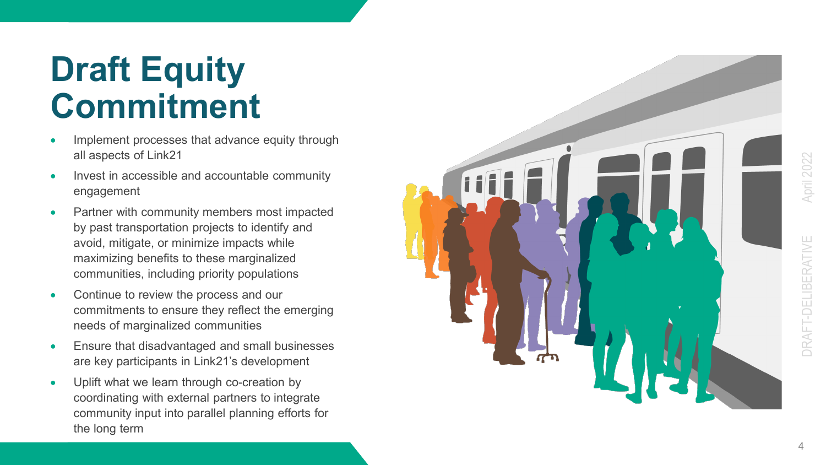### **Draft Equity Commitment**

- Implement processes that advance equity through all aspects of Link21
- Invest in accessible and accountable community engagement
- Partner with community members most impacted by past transportation projects to identify and avoid, mitigate, or minimize impacts while maximizing benefits to these marginalized communities, including priority populations
- Continue to review the process and our commitments to ensure they reflect the emerging needs of marginalized communities
- Ensure that disadvantaged and small businesses are key participants in Link21's development
- Uplift what we learn through co -creation by coordinating with external partners to integrate community input into parallel planning efforts for the long term